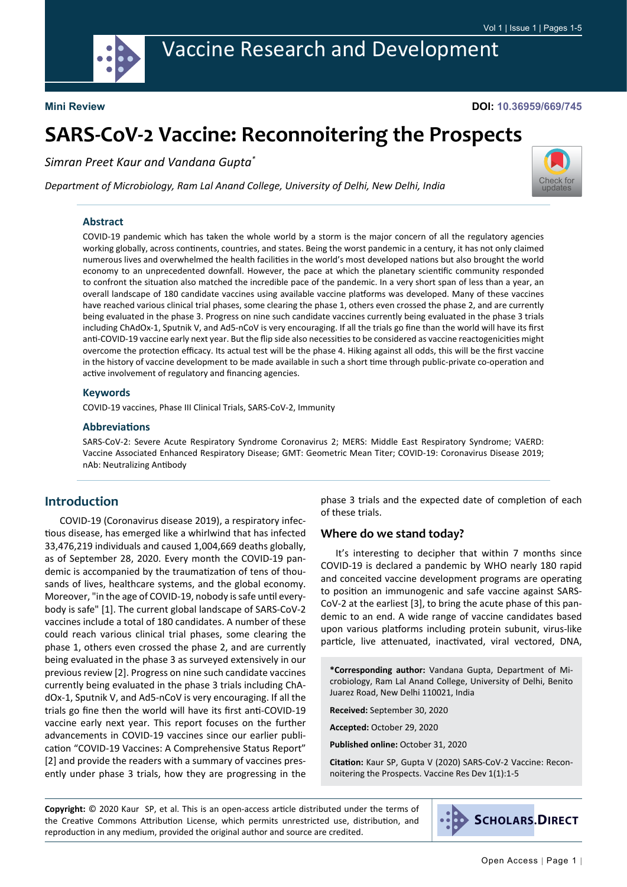

# Vaccine Research and Development

#### **Mini Review**

#### **DOI: 10.36959/669/745**

# **SARS-CoV-2 Vaccine: Reconnoitering the Prospects**

*Simran Preet Kaur and Vandana Gupta\**

*Department of Microbiology, Ram Lal Anand College, University of Delhi, New Delhi, India*



#### **Abstract**

COVID-19 pandemic which has taken the whole world by a storm is the major concern of all the regulatory agencies working globally, across continents, countries, and states. Being the worst pandemic in a century, it has not only claimed numerous lives and overwhelmed the health facilities in the world's most developed nations but also brought the world economy to an unprecedented downfall. However, the pace at which the planetary scientific community responded to confront the situation also matched the incredible pace of the pandemic. In a very short span of less than a year, an overall landscape of 180 candidate vaccines using available vaccine platforms was developed. Many of these vaccines have reached various clinical trial phases, some clearing the phase 1, others even crossed the phase 2, and are currently being evaluated in the phase 3. Progress on nine such candidate vaccines currently being evaluated in the phase 3 trials including ChAdOx-1, Sputnik V, and Ad5-nCoV is very encouraging. If all the trials go fine than the world will have its first anti-COVID-19 vaccine early next year. But the flip side also necessities to be considered as vaccine reactogenicities might overcome the protection efficacy. Its actual test will be the phase 4. Hiking against all odds, this will be the first vaccine in the history of vaccine development to be made available in such a short time through public-private co-operation and active involvement of regulatory and financing agencies.

#### **Keywords**

COVID-19 vaccines, Phase III Clinical Trials, SARS-CoV-2, Immunity

#### **Abbreviations**

SARS-CoV-2: Severe Acute Respiratory Syndrome Coronavirus 2; MERS: Middle East Respiratory Syndrome; VAERD: Vaccine Associated Enhanced Respiratory Disease; GMT: Geometric Mean Titer; COVID-19: Coronavirus Disease 2019; nAb: Neutralizing Antibody

# **Introduction**

COVID-19 (Coronavirus disease 2019), a respiratory infectious disease, has emerged like a whirlwind that has infected 33,476,219 individuals and caused 1,004,669 deaths globally, as of September 28, 2020. Every month the COVID-19 pandemic is accompanied by the traumatization of tens of thousands of lives, healthcare systems, and the global economy. Moreover, "in the age of COVID-19, nobody is safe until everybody is safe" [1]. The current global landscape of SARS-CoV-2 vaccines include a total of 180 candidates. A number of these could reach various clinical trial phases, some clearing the phase 1, others even crossed the phase 2, and are currently being evaluated in the phase 3 as surveyed extensively in our previous review [2]. Progress on nine such candidate vaccines currently being evaluated in the phase 3 trials including ChAdOx-1, Sputnik V, and Ad5-nCoV is very encouraging. If all the trials go fine then the world will have its first anti-COVID-19 vaccine early next year. This report focuses on the further advancements in COVID-19 vaccines since our earlier publication "COVID-19 Vaccines: A Comprehensive Status Report" [2] and provide the readers with a summary of vaccines presently under phase 3 trials, how they are progressing in the

phase 3 trials and the expected date of completion of each of these trials.

#### **Where do we stand today?**

It's interesting to decipher that within 7 months since COVID-19 is declared a pandemic by WHO nearly 180 rapid and conceited vaccine development programs are operating to position an immunogenic and safe vaccine against SARS-CoV-2 at the earliest [3], to bring the acute phase of this pandemic to an end. A wide range of vaccine candidates based upon various platforms including protein subunit, virus-like particle, live attenuated, inactivated, viral vectored, DNA,

**\*Corresponding author:** Vandana Gupta, Department of Microbiology, Ram Lal Anand College, University of Delhi, Benito Juarez Road, New Delhi 110021, India

**Received:** September 30, 2020

**Accepted:** October 29, 2020

**Published online:** October 31, 2020

**Citation:** Kaur SP, Gupta V (2020) SARS-CoV-2 Vaccine: Reconnoitering the Prospects. Vaccine Res Dev 1(1):1-5

**Copyright:** © 2020 Kaur SP, et al. This is an open-access article distributed under the terms of the Creative Commons Attribution License, which permits unrestricted use, distribution, and reproduction in any medium, provided the original author and source are credited.

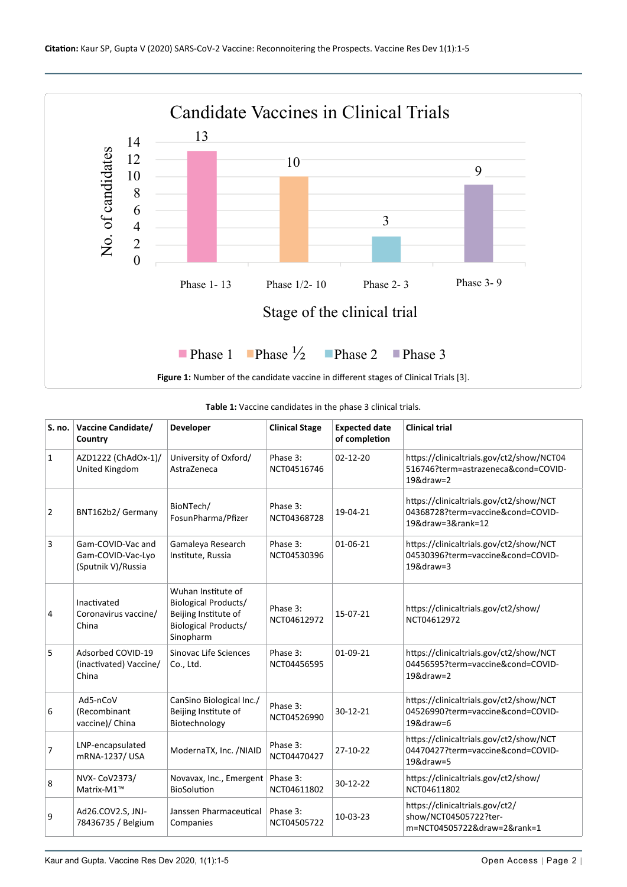<span id="page-1-0"></span>

<span id="page-1-1"></span>

| S. no.         | Vaccine Candidate/<br>Country                                | Developer                                                                                                             | <b>Clinical Stage</b>   | <b>Expected date</b><br>of completion | <b>Clinical trial</b>                                                                                  |
|----------------|--------------------------------------------------------------|-----------------------------------------------------------------------------------------------------------------------|-------------------------|---------------------------------------|--------------------------------------------------------------------------------------------------------|
| $\mathbf{1}$   | AZD1222 (ChAdOx-1)/<br>United Kingdom                        | University of Oxford/<br>AstraZeneca                                                                                  | Phase 3:<br>NCT04516746 | $02 - 12 - 20$                        | https://clinicaltrials.gov/ct2/show/NCT04<br>516746?term=astrazeneca&cond=COVID-<br>$19&\text{draw}=2$ |
| $\overline{2}$ | BNT162b2/Germany                                             | BioNTech/<br>FosunPharma/Pfizer                                                                                       | Phase 3:<br>NCT04368728 | 19-04-21                              | https://clinicaltrials.gov/ct2/show/NCT<br>04368728?term=vaccine&cond=COVID-<br>19&draw=3&rank=12      |
| 3              | Gam-COVID-Vac and<br>Gam-COVID-Vac-Lyo<br>(Sputnik V)/Russia | Gamaleya Research<br>Institute, Russia                                                                                | Phase 3:<br>NCT04530396 | $01 - 06 - 21$                        | https://clinicaltrials.gov/ct2/show/NCT<br>04530396?term=vaccine&cond=COVID-<br>$19$ &draw=3           |
| 4              | Inactivated<br>Coronavirus vaccine/<br>China                 | Wuhan Institute of<br><b>Biological Products/</b><br>Beijing Institute of<br><b>Biological Products/</b><br>Sinopharm | Phase 3:<br>NCT04612972 | 15-07-21                              | https://clinicaltrials.gov/ct2/show/<br>NCT04612972                                                    |
| 5              | Adsorbed COVID-19<br>(inactivated) Vaccine/<br>China         | Sinovac Life Sciences<br>Co., Ltd.                                                                                    | Phase 3:<br>NCT04456595 | $01-09-21$                            | https://clinicaltrials.gov/ct2/show/NCT<br>04456595?term=vaccine&cond=COVID-<br>$19&$ draw=2           |
| 6              | Ad5-nCoV<br>(Recombinant<br>vaccine)/ China                  | CanSino Biological Inc./<br>Beijing Institute of<br>Biotechnology                                                     | Phase 3:<br>NCT04526990 | $30-12-21$                            | https://clinicaltrials.gov/ct2/show/NCT<br>04526990?term=vaccine&cond=COVID-<br>19&draw=6              |
| 7              | LNP-encapsulated<br>mRNA-1237/ USA                           | ModernaTX, Inc. /NIAID                                                                                                | Phase 3:<br>NCT04470427 | $27-10-22$                            | https://clinicaltrials.gov/ct2/show/NCT<br>04470427?term=vaccine&cond=COVID-<br>19&draw=5              |
| 8              | NVX- CoV2373/<br>Matrix-M1™                                  | Novavax, Inc., Emergent<br>BioSolution                                                                                | Phase 3:<br>NCT04611802 | $30-12-22$                            | https://clinicaltrials.gov/ct2/show/<br>NCT04611802                                                    |
| 9              | Ad26.COV2.S, JNJ-<br>78436735 / Belgium                      | Janssen Pharmaceutical<br>Companies                                                                                   | Phase 3:<br>NCT04505722 | 10-03-23                              | https://clinicaltrials.gov/ct2/<br>show/NCT04505722?ter-<br>m=NCT04505722&draw=2&rank=1                |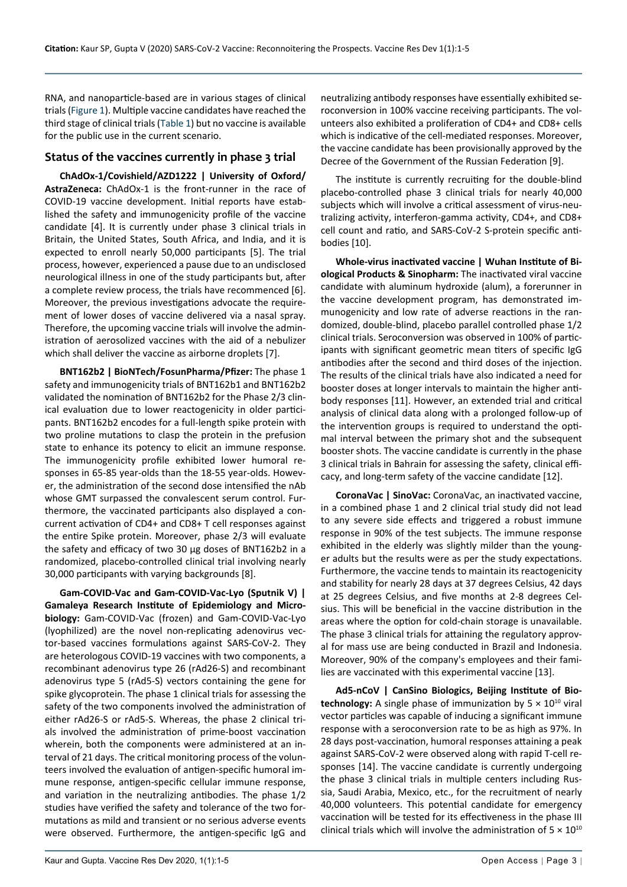RNA, and nanoparticle-based are in various stages of clinical trials [\(Figure 1\)](#page-1-0). Multiple vaccine candidates have reached the third stage of clinical trials [\(Table 1](#page-1-1)) but no vaccine is available for the public use in the current scenario.

## **Status of the vaccines currently in phase 3 trial**

**ChAdOx-1/Covishield/AZD1222 | University of Oxford/ AstraZeneca:** ChAdOx-1 is the front-runner in the race of COVID-19 vaccine development. Initial reports have established the safety and immunogenicity profile of the vaccine candidate [4]. It is currently under phase 3 clinical trials in Britain, the United States, South Africa, and India, and it is expected to enroll nearly 50,000 participants [5]. The trial process, however, experienced a pause due to an undisclosed neurological illness in one of the study participants but, after a complete review process, the trials have recommenced [6]. Moreover, the previous investigations advocate the requirement of lower doses of vaccine delivered via a nasal spray. Therefore, the upcoming vaccine trials will involve the administration of aerosolized vaccines with the aid of a nebulizer which shall deliver the vaccine as airborne droplets [7].

**BNT162b2 | BioNTech/FosunPharma/Pfizer:** The phase 1 safety and immunogenicity trials of BNT162b1 and BNT162b2 validated the nomination of BNT162b2 for the Phase 2/3 clinical evaluation due to lower reactogenicity in older participants. BNT162b2 encodes for a full-length spike protein with two proline mutations to clasp the protein in the prefusion state to enhance its potency to elicit an immune response. The immunogenicity profile exhibited lower humoral responses in 65-85 year-olds than the 18-55 year-olds. However, the administration of the second dose intensified the nAb whose GMT surpassed the convalescent serum control. Furthermore, the vaccinated participants also displayed a concurrent activation of CD4+ and CD8+ T cell responses against the entire Spike protein. Moreover, phase 2/3 will evaluate the safety and efficacy of two 30 µg doses of BNT162b2 in a randomized, placebo-controlled clinical trial involving nearly 30,000 participants with varying backgrounds [8].

**Gam-COVID-Vac and Gam-COVID-Vac-Lyo (Sputnik V) | Gamaleya Research Institute of Epidemiology and Microbiology:** Gam-COVID-Vac (frozen) and Gam-COVID-Vac-Lyo (lyophilized) are the novel non-replicating adenovirus vector-based vaccines formulations against SARS-CoV-2. They are heterologous COVID-19 vaccines with two components, a recombinant adenovirus type 26 (rAd26-S) and recombinant adenovirus type 5 (rAd5-S) vectors containing the gene for spike glycoprotein. The phase 1 clinical trials for assessing the safety of the two components involved the administration of either rAd26-S or rAd5-S. Whereas, the phase 2 clinical trials involved the administration of prime-boost vaccination wherein, both the components were administered at an interval of 21 days. The critical monitoring process of the volunteers involved the evaluation of antigen-specific humoral immune response, antigen-specific cellular immune response, and variation in the neutralizing antibodies. The phase 1/2 studies have verified the safety and tolerance of the two formutations as mild and transient or no serious adverse events were observed. Furthermore, the antigen-specific IgG and

neutralizing antibody responses have essentially exhibited seroconversion in 100% vaccine receiving participants. The volunteers also exhibited a proliferation of CD4+ and CD8+ cells which is indicative of the cell-mediated responses. Moreover, the vaccine candidate has been provisionally approved by the Decree of the Government of the Russian Federation [9].

The institute is currently recruiting for the double-blind placebo-controlled phase 3 clinical trials for nearly 40,000 subjects which will involve a critical assessment of virus-neutralizing activity, interferon-gamma activity, CD4+, and CD8+ cell count and ratio, and SARS-CoV-2 S-protein specific antibodies [10].

**Whole-virus inactivated vaccine | Wuhan Institute of Biological Products & Sinopharm:** The inactivated viral vaccine candidate with aluminum hydroxide (alum), a forerunner in the vaccine development program, has demonstrated immunogenicity and low rate of adverse reactions in the randomized, double-blind, placebo parallel controlled phase 1/2 clinical trials. Seroconversion was observed in 100% of participants with significant geometric mean titers of specific IgG antibodies after the second and third doses of the injection. The results of the clinical trials have also indicated a need for booster doses at longer intervals to maintain the higher antibody responses [11]. However, an extended trial and critical analysis of clinical data along with a prolonged follow-up of the intervention groups is required to understand the optimal interval between the primary shot and the subsequent booster shots. The vaccine candidate is currently in the phase 3 clinical trials in Bahrain for assessing the safety, clinical efficacy, and long-term safety of the vaccine candidate [12].

**CoronaVac | SinoVac:** CoronaVac, an inactivated vaccine, in a combined phase 1 and 2 clinical trial study did not lead to any severe side effects and triggered a robust immune response in 90% of the test subjects. The immune response exhibited in the elderly was slightly milder than the younger adults but the results were as per the study expectations. Furthermore, the vaccine tends to maintain its reactogenicity and stability for nearly 28 days at 37 degrees Celsius, 42 days at 25 degrees Celsius, and five months at 2-8 degrees Celsius. This will be beneficial in the vaccine distribution in the areas where the option for cold-chain storage is unavailable. The phase 3 clinical trials for attaining the regulatory approval for mass use are being conducted in Brazil and Indonesia. Moreover, 90% of the company's employees and their families are vaccinated with this experimental vaccine [13].

**Ad5-nCoV | CanSino Biologics, Beijing Institute of Biotechnology:** A single phase of immunization by  $5 \times 10^{10}$  viral vector particles was capable of inducing a significant immune response with a seroconversion rate to be as high as 97%. In 28 days post-vaccination, humoral responses attaining a peak against SARS-CoV-2 were observed along with rapid T-cell responses [14]. The vaccine candidate is currently undergoing the phase 3 clinical trials in multiple centers including Russia, Saudi Arabia, Mexico, etc., for the recruitment of nearly 40,000 volunteers. This potential candidate for emergency vaccination will be tested for its effectiveness in the phase III clinical trials which will involve the administration of  $5 \times 10^{10}$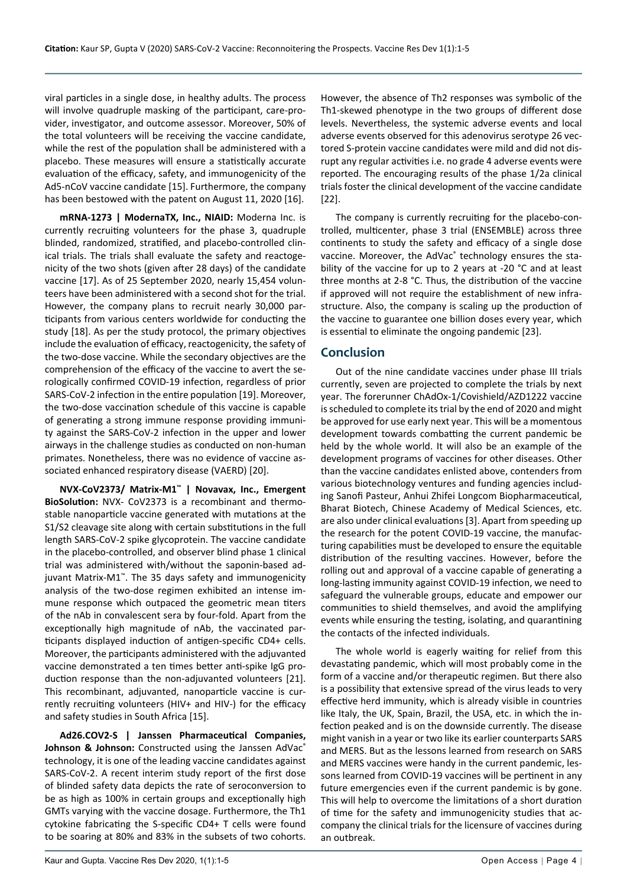viral particles in a single dose, in healthy adults. The process will involve quadruple masking of the participant, care-provider, investigator, and outcome assessor. Moreover, 50% of the total volunteers will be receiving the vaccine candidate, while the rest of the population shall be administered with a placebo. These measures will ensure a statistically accurate evaluation of the efficacy, safety, and immunogenicity of the Ad5-nCoV vaccine candidate [15]. Furthermore, the company has been bestowed with the patent on August 11, 2020 [16].

**mRNA-1273 | ModernaTX, Inc., NIAID:** Moderna Inc. is currently recruiting volunteers for the phase 3, quadruple blinded, randomized, stratified, and placebo-controlled clinical trials. The trials shall evaluate the safety and reactogenicity of the two shots (given after 28 days) of the candidate vaccine [17]. As of 25 September 2020, nearly 15,454 volunteers have been administered with a second shot for the trial. However, the company plans to recruit nearly 30,000 participants from various centers worldwide for conducting the study [18]. As per the study protocol, the primary objectives include the evaluation of efficacy, reactogenicity, the safety of the two-dose vaccine. While the secondary objectives are the comprehension of the efficacy of the vaccine to avert the serologically confirmed COVID-19 infection, regardless of prior SARS-CoV-2 infection in the entire population [19]. Moreover, the two-dose vaccination schedule of this vaccine is capable of generating a strong immune response providing immunity against the SARS-CoV-2 infection in the upper and lower airways in the challenge studies as conducted on non-human primates. Nonetheless, there was no evidence of vaccine associated enhanced respiratory disease (VAERD) [20].

**NVX-CoV2373/ Matrix-M1™ | Novavax, Inc., Emergent BioSolution:** NVX- CoV2373 is a recombinant and thermostable nanoparticle vaccine generated with mutations at the S1/S2 cleavage site along with certain substitutions in the full length SARS-CoV-2 spike glycoprotein. The vaccine candidate in the placebo-controlled, and observer blind phase 1 clinical trial was administered with/without the saponin-based adjuvant Matrix-M1™. The 35 days safety and immunogenicity analysis of the two-dose regimen exhibited an intense immune response which outpaced the geometric mean titers of the nAb in convalescent sera by four-fold. Apart from the exceptionally high magnitude of nAb, the vaccinated participants displayed induction of antigen-specific CD4+ cells. Moreover, the participants administered with the adjuvanted vaccine demonstrated a ten times better anti-spike IgG production response than the non-adjuvanted volunteers [21]. This recombinant, adjuvanted, nanoparticle vaccine is currently recruiting volunteers (HIV+ and HIV-) for the efficacy and safety studies in South Africa [15].

**Ad26.COV2-S | Janssen Pharmaceutical Companies, Johnson & Johnson:** Constructed using the Janssen AdVac<sup>®</sup> technology, it is one of the leading vaccine candidates against SARS-CoV-2. A recent interim study report of the first dose of blinded safety data depicts the rate of seroconversion to be as high as 100% in certain groups and exceptionally high GMTs varying with the vaccine dosage. Furthermore, the Th1 cytokine fabricating the S-specific CD4+ T cells were found to be soaring at 80% and 83% in the subsets of two cohorts.

However, the absence of Th2 responses was symbolic of the Th1-skewed phenotype in the two groups of different dose levels. Nevertheless, the systemic adverse events and local adverse events observed for this adenovirus serotype 26 vectored S-protein vaccine candidates were mild and did not disrupt any regular activities i.e. no grade 4 adverse events were reported. The encouraging results of the phase 1/2a clinical trials foster the clinical development of the vaccine candidate [22].

The company is currently recruiting for the placebo-controlled, multicenter, phase 3 trial (ENSEMBLE) across three continents to study the safety and efficacy of a single dose vaccine. Moreover, the AdVac® technology ensures the stability of the vaccine for up to 2 years at -20 °C and at least three months at 2-8 °C. Thus, the distribution of the vaccine if approved will not require the establishment of new infrastructure. Also, the company is scaling up the production of the vaccine to guarantee one billion doses every year, which is essential to eliminate the ongoing pandemic [23].

# **Conclusion**

Out of the nine candidate vaccines under phase III trials currently, seven are projected to complete the trials by next year. The forerunner ChAdOx-1/Covishield/AZD1222 vaccine is scheduled to complete its trial by the end of 2020 and might be approved for use early next year. This will be a momentous development towards combatting the current pandemic be held by the whole world. It will also be an example of the development programs of vaccines for other diseases. Other than the vaccine candidates enlisted above, contenders from various biotechnology ventures and funding agencies including Sanofi Pasteur, Anhui Zhifei Longcom Biopharmaceutical, Bharat Biotech, Chinese Academy of Medical Sciences, etc. are also under clinical evaluations [3]. Apart from speeding up the research for the potent COVID-19 vaccine, the manufacturing capabilities must be developed to ensure the equitable distribution of the resulting vaccines. However, before the rolling out and approval of a vaccine capable of generating a long-lasting immunity against COVID-19 infection, we need to safeguard the vulnerable groups, educate and empower our communities to shield themselves, and avoid the amplifying events while ensuring the testing, isolating, and quarantining the contacts of the infected individuals.

The whole world is eagerly waiting for relief from this devastating pandemic, which will most probably come in the form of a vaccine and/or therapeutic regimen. But there also is a possibility that extensive spread of the virus leads to very effective herd immunity, which is already visible in countries like Italy, the UK, Spain, Brazil, the USA, etc. in which the infection peaked and is on the downside currently. The disease might vanish in a year or two like its earlier counterparts SARS and MERS. But as the lessons learned from research on SARS and MERS vaccines were handy in the current pandemic, lessons learned from COVID-19 vaccines will be pertinent in any future emergencies even if the current pandemic is by gone. This will help to overcome the limitations of a short duration of time for the safety and immunogenicity studies that accompany the clinical trials for the licensure of vaccines during an outbreak.